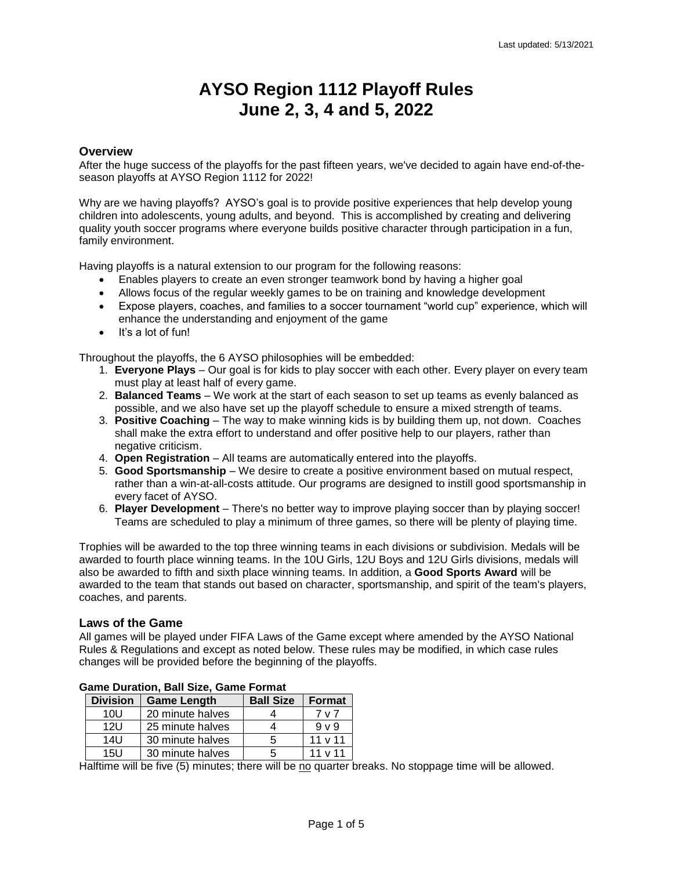## **AYSO Region 1112 Playoff Rules June 2, 3, 4 and 5, 2022**

#### **Overview**

After the huge success of the playoffs for the past fifteen years, we've decided to again have end-of-theseason playoffs at AYSO Region 1112 for 2022!

Why are we having playoffs? AYSO's goal is to provide positive experiences that help develop young children into adolescents, young adults, and beyond. This is accomplished by creating and delivering quality youth soccer programs where everyone builds positive character through participation in a fun, family environment.

Having playoffs is a natural extension to our program for the following reasons:

- Enables players to create an even stronger teamwork bond by having a higher goal
- Allows focus of the regular weekly games to be on training and knowledge development
- Expose players, coaches, and families to a soccer tournament "world cup" experience, which will enhance the understanding and enjoyment of the game
- $\bullet$  It's a lot of fun!

Throughout the playoffs, the 6 AYSO philosophies will be embedded:

- 1. **Everyone Plays** Our goal is for kids to play soccer with each other. Every player on every team must play at least half of every game.
- 2. **Balanced Teams** We work at the start of each season to set up teams as evenly balanced as possible, and we also have set up the playoff schedule to ensure a mixed strength of teams.
- 3. **Positive Coaching** The way to make winning kids is by building them up, not down. Coaches shall make the extra effort to understand and offer positive help to our players, rather than negative criticism.
- 4. **Open Registration** All teams are automatically entered into the playoffs.
- 5. **Good Sportsmanship** We desire to create a positive environment based on mutual respect, rather than a win-at-all-costs attitude. Our programs are designed to instill good sportsmanship in every facet of AYSO.
- 6. **Player Development**  There's no better way to improve playing soccer than by playing soccer! Teams are scheduled to play a minimum of three games, so there will be plenty of playing time.

Trophies will be awarded to the top three winning teams in each divisions or subdivision. Medals will be awarded to fourth place winning teams. In the 10U Girls, 12U Boys and 12U Girls divisions, medals will also be awarded to fifth and sixth place winning teams. In addition, a **Good Sports Award** will be awarded to the team that stands out based on character, sportsmanship, and spirit of the team's players, coaches, and parents.

#### **Laws of the Game**

All games will be played under FIFA Laws of the Game except where amended by the AYSO National Rules & Regulations and except as noted below. These rules may be modified, in which case rules changes will be provided before the beginning of the playoffs.

| <b>Division</b> | <b>Game Length</b> | <b>Ball Size</b> | <b>Format</b> |
|-----------------|--------------------|------------------|---------------|
| 10U             | 20 minute halves   |                  | 7 v 7         |
| 12U             | 25 minute halves   |                  | $9 \vee 9$    |
| $14$ U          | 30 minute halves   | 5                | $11 \vee 11$  |
| 15U             | 30 minute halves   |                  | 11 v 11       |

#### **Game Duration, Ball Size, Game Format**

Halftime will be five (5) minutes; there will be no quarter breaks. No stoppage time will be allowed.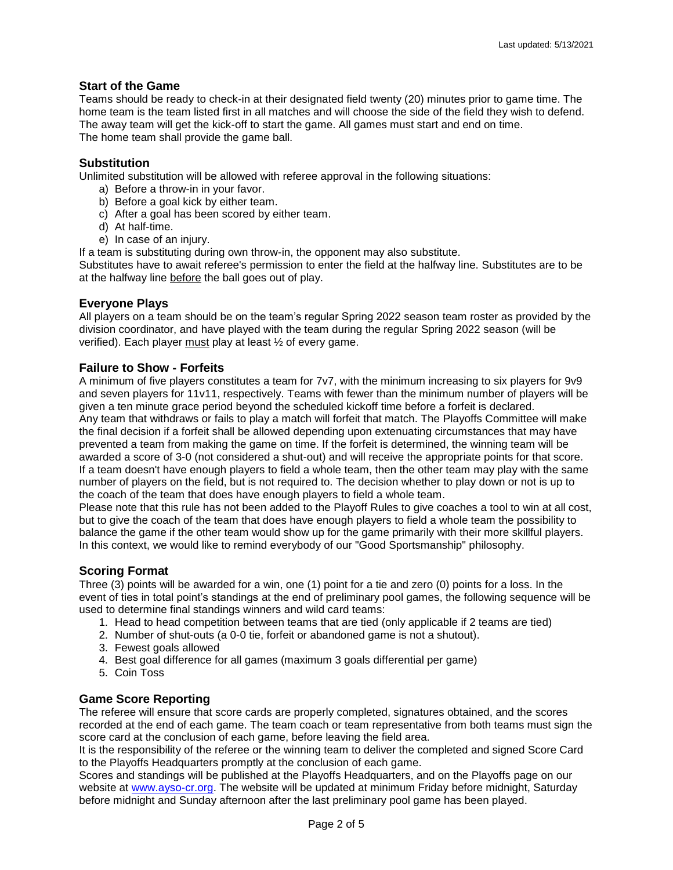#### **Start of the Game**

Teams should be ready to check-in at their designated field twenty (20) minutes prior to game time. The home team is the team listed first in all matches and will choose the side of the field they wish to defend. The away team will get the kick-off to start the game. All games must start and end on time. The home team shall provide the game ball.

#### **Substitution**

Unlimited substitution will be allowed with referee approval in the following situations:

- a) Before a throw-in in your favor.
- b) Before a goal kick by either team.
- c) After a goal has been scored by either team.
- d) At half-time.
- e) In case of an injury.

If a team is substituting during own throw-in, the opponent may also substitute.

Substitutes have to await referee's permission to enter the field at the halfway line. Substitutes are to be at the halfway line before the ball goes out of play.

#### **Everyone Plays**

All players on a team should be on the team's regular Spring 2022 season team roster as provided by the division coordinator, and have played with the team during the regular Spring 2022 season (will be verified). Each player must play at least ½ of every game.

#### **Failure to Show - Forfeits**

A minimum of five players constitutes a team for 7v7, with the minimum increasing to six players for 9v9 and seven players for 11v11, respectively. Teams with fewer than the minimum number of players will be given a ten minute grace period beyond the scheduled kickoff time before a forfeit is declared. Any team that withdraws or fails to play a match will forfeit that match. The Playoffs Committee will make the final decision if a forfeit shall be allowed depending upon extenuating circumstances that may have prevented a team from making the game on time. If the forfeit is determined, the winning team will be awarded a score of 3-0 (not considered a shut-out) and will receive the appropriate points for that score. If a team doesn't have enough players to field a whole team, then the other team may play with the same number of players on the field, but is not required to. The decision whether to play down or not is up to the coach of the team that does have enough players to field a whole team.

Please note that this rule has not been added to the Playoff Rules to give coaches a tool to win at all cost, but to give the coach of the team that does have enough players to field a whole team the possibility to balance the game if the other team would show up for the game primarily with their more skillful players. In this context, we would like to remind everybody of our "Good Sportsmanship" philosophy.

#### **Scoring Format**

Three (3) points will be awarded for a win, one (1) point for a tie and zero (0) points for a loss. In the event of ties in total point's standings at the end of preliminary pool games, the following sequence will be used to determine final standings winners and wild card teams:

- 1. Head to head competition between teams that are tied (only applicable if 2 teams are tied)
- 2. Number of shut-outs (a 0-0 tie, forfeit or abandoned game is not a shutout).
- 3. Fewest goals allowed
- 4. Best goal difference for all games (maximum 3 goals differential per game)
- 5. Coin Toss

#### **Game Score Reporting**

The referee will ensure that score cards are properly completed, signatures obtained, and the scores recorded at the end of each game. The team coach or team representative from both teams must sign the score card at the conclusion of each game, before leaving the field area.

It is the responsibility of the referee or the winning team to deliver the completed and signed Score Card to the Playoffs Headquarters promptly at the conclusion of each game.

Scores and standings will be published at the Playoffs Headquarters, and on the Playoffs page on our website at [www.ayso-cr.org.](http://www.ayso-cr.org/) The website will be updated at minimum Friday before midnight, Saturday before midnight and Sunday afternoon after the last preliminary pool game has been played.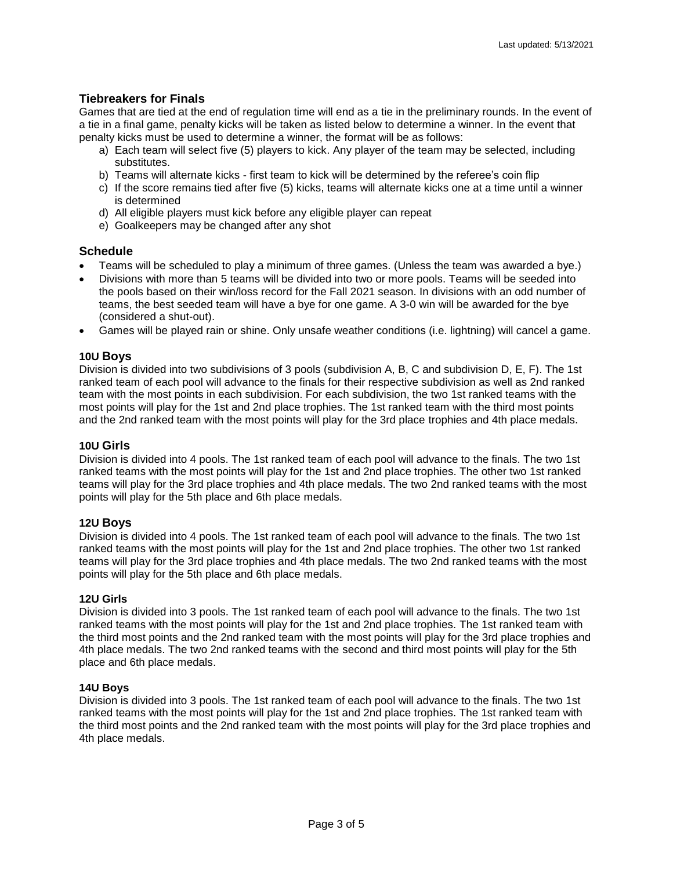#### **Tiebreakers for Finals**

Games that are tied at the end of regulation time will end as a tie in the preliminary rounds. In the event of a tie in a final game, penalty kicks will be taken as listed below to determine a winner. In the event that penalty kicks must be used to determine a winner, the format will be as follows:

- a) Each team will select five (5) players to kick. Any player of the team may be selected, including substitutes.
- b) Teams will alternate kicks first team to kick will be determined by the referee's coin flip
- c) If the score remains tied after five (5) kicks, teams will alternate kicks one at a time until a winner is determined
- d) All eligible players must kick before any eligible player can repeat
- e) Goalkeepers may be changed after any shot

#### **Schedule**

- Teams will be scheduled to play a minimum of three games. (Unless the team was awarded a bye.)
- Divisions with more than 5 teams will be divided into two or more pools. Teams will be seeded into the pools based on their win/loss record for the Fall 2021 season. In divisions with an odd number of teams, the best seeded team will have a bye for one game. A 3-0 win will be awarded for the bye (considered a shut-out).
- Games will be played rain or shine. Only unsafe weather conditions (i.e. lightning) will cancel a game.

#### **10U Boys**

Division is divided into two subdivisions of 3 pools (subdivision A, B, C and subdivision D, E, F). The 1st ranked team of each pool will advance to the finals for their respective subdivision as well as 2nd ranked team with the most points in each subdivision. For each subdivision, the two 1st ranked teams with the most points will play for the 1st and 2nd place trophies. The 1st ranked team with the third most points and the 2nd ranked team with the most points will play for the 3rd place trophies and 4th place medals.

#### **10U Girls**

Division is divided into 4 pools. The 1st ranked team of each pool will advance to the finals. The two 1st ranked teams with the most points will play for the 1st and 2nd place trophies. The other two 1st ranked teams will play for the 3rd place trophies and 4th place medals. The two 2nd ranked teams with the most points will play for the 5th place and 6th place medals.

#### **12U Boys**

Division is divided into 4 pools. The 1st ranked team of each pool will advance to the finals. The two 1st ranked teams with the most points will play for the 1st and 2nd place trophies. The other two 1st ranked teams will play for the 3rd place trophies and 4th place medals. The two 2nd ranked teams with the most points will play for the 5th place and 6th place medals.

#### **12U Girls**

Division is divided into 3 pools. The 1st ranked team of each pool will advance to the finals. The two 1st ranked teams with the most points will play for the 1st and 2nd place trophies. The 1st ranked team with the third most points and the 2nd ranked team with the most points will play for the 3rd place trophies and 4th place medals. The two 2nd ranked teams with the second and third most points will play for the 5th place and 6th place medals.

#### **14U Boys**

Division is divided into 3 pools. The 1st ranked team of each pool will advance to the finals. The two 1st ranked teams with the most points will play for the 1st and 2nd place trophies. The 1st ranked team with the third most points and the 2nd ranked team with the most points will play for the 3rd place trophies and 4th place medals.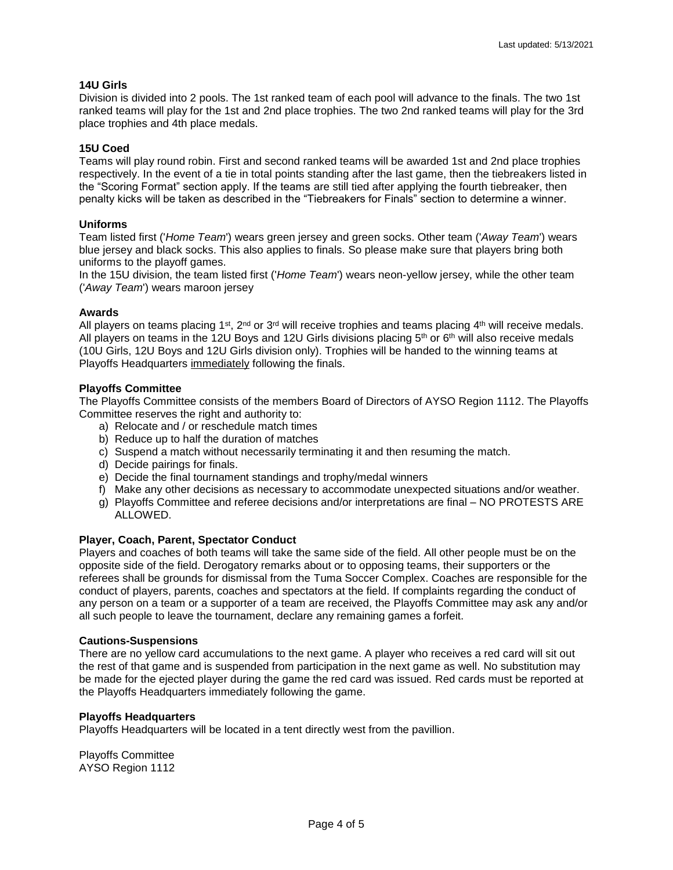#### **14U Girls**

Division is divided into 2 pools. The 1st ranked team of each pool will advance to the finals. The two 1st ranked teams will play for the 1st and 2nd place trophies. The two 2nd ranked teams will play for the 3rd place trophies and 4th place medals.

#### **15U Coed**

Teams will play round robin. First and second ranked teams will be awarded 1st and 2nd place trophies respectively. In the event of a tie in total points standing after the last game, then the tiebreakers listed in the "Scoring Format" section apply. If the teams are still tied after applying the fourth tiebreaker, then penalty kicks will be taken as described in the "Tiebreakers for Finals" section to determine a winner.

#### **Uniforms**

Team listed first ('*Home Team*') wears green jersey and green socks. Other team ('*Away Team*') wears blue jersey and black socks. This also applies to finals. So please make sure that players bring both uniforms to the playoff games.

In the 15U division, the team listed first ('*Home Team*') wears neon-yellow jersey, while the other team ('*Away Team*') wears maroon jersey

#### **Awards**

All players on teams placing 1st, 2<sup>nd</sup> or 3<sup>rd</sup> will receive trophies and teams placing 4<sup>th</sup> will receive medals. All players on teams in the 12U Boys and 12U Girls divisions placing 5<sup>th</sup> or 6<sup>th</sup> will also receive medals (10U Girls, 12U Boys and 12U Girls division only). Trophies will be handed to the winning teams at Playoffs Headquarters immediately following the finals.

#### **Playoffs Committee**

The Playoffs Committee consists of the members Board of Directors of AYSO Region 1112. The Playoffs Committee reserves the right and authority to:

- a) Relocate and / or reschedule match times
- b) Reduce up to half the duration of matches
- c) Suspend a match without necessarily terminating it and then resuming the match.
- d) Decide pairings for finals.
- e) Decide the final tournament standings and trophy/medal winners
- f) Make any other decisions as necessary to accommodate unexpected situations and/or weather.
- g) Playoffs Committee and referee decisions and/or interpretations are final NO PROTESTS ARE ALLOWED.

#### **Player, Coach, Parent, Spectator Conduct**

Players and coaches of both teams will take the same side of the field. All other people must be on the opposite side of the field. Derogatory remarks about or to opposing teams, their supporters or the referees shall be grounds for dismissal from the Tuma Soccer Complex. Coaches are responsible for the conduct of players, parents, coaches and spectators at the field. If complaints regarding the conduct of any person on a team or a supporter of a team are received, the Playoffs Committee may ask any and/or all such people to leave the tournament, declare any remaining games a forfeit.

#### **Cautions-Suspensions**

There are no yellow card accumulations to the next game. A player who receives a red card will sit out the rest of that game and is suspended from participation in the next game as well. No substitution may be made for the ejected player during the game the red card was issued. Red cards must be reported at the Playoffs Headquarters immediately following the game.

#### **Playoffs Headquarters**

Playoffs Headquarters will be located in a tent directly west from the pavillion.

Playoffs Committee AYSO Region 1112